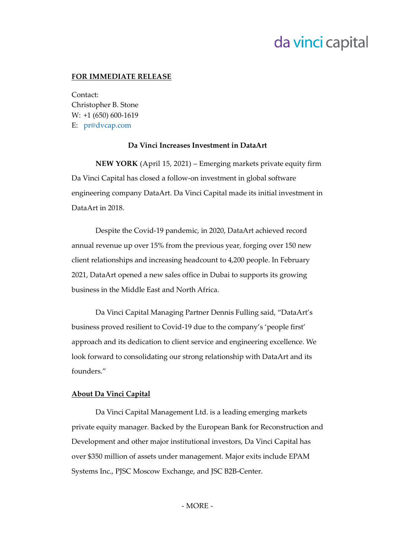# da vinci capital

### **FOR IMMEDIATE RELEASE**

Contact: Christopher B. Stone W: +1 (650) 600-1619 E: [pr@dvcap.com](mailto:pr@dvcap.com)

#### **Da Vinci Increases Investment in DataArt**

**NEW YORK** (April 15, 2021) – Emerging markets private equity firm Da Vinci Capital has closed a follow-on investment in global software engineering company DataArt. Da Vinci Capital made its initial investment in DataArt in 2018.

Despite the Covid-19 pandemic, in 2020, DataArt achieved record annual revenue up over 15% from the previous year, forging over 150 new client relationships and increasing headcount to 4,200 people. In February 2021, DataArt opened a new sales office in Dubai to supports its growing business in the Middle East and North Africa.

Da Vinci Capital Managing Partner Dennis Fulling said, "DataArt's business proved resilient to Covid-19 due to the company's 'people first' approach and its dedication to client service and engineering excellence. We look forward to consolidating our strong relationship with DataArt and its founders."

## **About Da Vinci Capital**

Da Vinci Capital Management Ltd. is a leading emerging markets private equity manager. Backed by the European Bank for Reconstruction and Development and other major institutional investors, Da Vinci Capital has over \$350 million of assets under management. Major exits include EPAM Systems Inc., PJSC Moscow Exchange, and JSC B2B-Center.